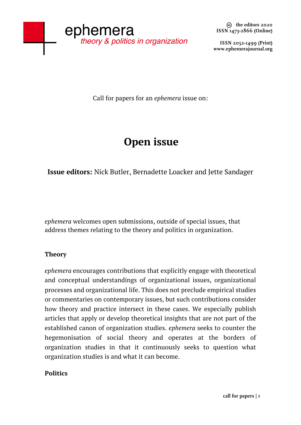

**ISSN 2052-1499 (Print) www.ephemerajournal.org**

Call for papers for an *ephemera* issue on:

# **Open issue**

**Issue editors:** Nick Butler, Bernadette Loacker and Jette Sandager

*ephemera* welcomes open submissions, outside of special issues, that address themes relating to the theory and politics in organization.

## **Theory**

*ephemera* encourages contributions that explicitly engage with theoretical and conceptual understandings of organizational issues, organizational processes and organizational life. This does not preclude empirical studies or commentaries on contemporary issues, but such contributions consider how theory and practice intersect in these cases. We especially publish articles that apply or develop theoretical insights that are not part of the established canon of organization studies. *ephemera* seeks to counter the hegemonisation of social theory and operates at the borders of organization studies in that it continuously seeks to question what organization studies is and what it can become.

#### **Politics**